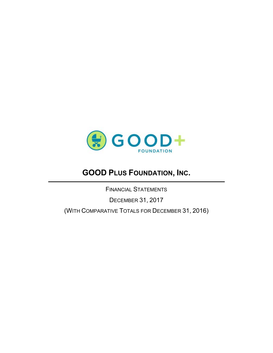

FINANCIAL STATEMENTS

DECEMBER 31, 2017

(WITH COMPARATIVE TOTALS FOR DECEMBER 31, 2016)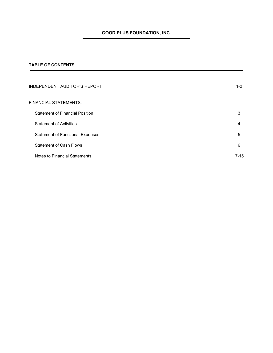## **TABLE OF CONTENTS**

| INDEPENDENT AUDITOR'S REPORT            | $1 - 2$  |
|-----------------------------------------|----------|
| FINANCIAL STATEMENTS:                   |          |
| <b>Statement of Financial Position</b>  | 3        |
| <b>Statement of Activities</b>          | 4        |
| <b>Statement of Functional Expenses</b> | 5        |
| <b>Statement of Cash Flows</b>          | 6        |
| Notes to Financial Statements           | $7 - 15$ |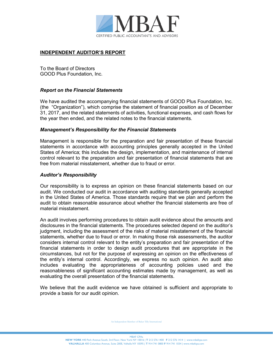

## **INDEPENDENT AUDITOR'S REPORT**

To the Board of Directors GOOD Plus Foundation, Inc.

## *Report on the Financial Statements*

We have audited the accompanying financial statements of GOOD Plus Foundation, Inc. (the "Organization"), which comprise the statement of financial position as of December 31, 2017, and the related statements of activities, functional expenses, and cash flows for the year then ended, and the related notes to the financial statements.

## *Management's Responsibility for the Financial Statements*

Management is responsible for the preparation and fair presentation of these financial statements in accordance with accounting principles generally accepted in the United States of America; this includes the design, implementation, and maintenance of internal control relevant to the preparation and fair presentation of financial statements that are free from material misstatement, whether due to fraud or error.

## *Auditor's Responsibility*

Our responsibility is to express an opinion on these financial statements based on our audit. We conducted our audit in accordance with auditing standards generally accepted in the United States of America. Those standards require that we plan and perform the audit to obtain reasonable assurance about whether the financial statements are free of material misstatement.

An audit involves performing procedures to obtain audit evidence about the amounts and disclosures in the financial statements. The procedures selected depend on the auditor's judgment, including the assessment of the risks of material misstatement of the financial statements, whether due to fraud or error. In making those risk assessments, the auditor considers internal control relevant to the entity's preparation and fair presentation of the financial statements in order to design audit procedures that are appropriate in the circumstances, but not for the purpose of expressing an opinion on the effectiveness of the entity's internal control. Accordingly, we express no such opinion. An audit also includes evaluating the appropriateness of accounting policies used and the reasonableness of significant accounting estimates made by management, as well as evaluating the overall presentation of the financial statements.

We believe that the audit evidence we have obtained is sufficient and appropriate to provide a basis for our audit opinion.

An Independent Member of Baker Tilly International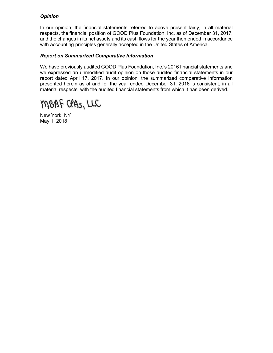# *Opinion*

In our opinion, the financial statements referred to above present fairly, in all material respects, the financial position of GOOD Plus Foundation, Inc. as of December 31, 2017, and the changes in its net assets and its cash flows for the year then ended in accordance with accounting principles generally accepted in the United States of America.

# *Report on Summarized Comparative Information*

We have previously audited GOOD Plus Foundation, Inc.'s 2016 financial statements and we expressed an unmodified audit opinion on those audited financial statements in our report dated April 17, 2017. In our opinion, the summarized comparative information presented herein as of and for the year ended December 31, 2016 is consistent, in all material respects, with the audited financial statements from which it has been derived.

MBAF CPAS, LLC

New York, NY May 1, 2018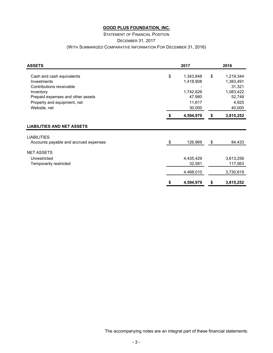## STATEMENT OF FINANCIAL POSITION

## DECEMBER 31, 2017

(WITH SUMMARIZED COMPARATIVE INFORMATION FOR DECEMBER 31, 2016)

| <b>ASSETS</b>                                                                                                                                                         | 2017                                                                    | 2016                                                                             |
|-----------------------------------------------------------------------------------------------------------------------------------------------------------------------|-------------------------------------------------------------------------|----------------------------------------------------------------------------------|
| Cash and cash equivalents<br>Investments<br>Contributions receivable<br>Inventory<br>Prepaid expenses and other assets<br>Property and equipment, net<br>Website, net | \$<br>1,343,848<br>1,418,908<br>1,742,626<br>47,980<br>11,617<br>30,000 | \$<br>1,219,344<br>1,383,491<br>31,321<br>1,083,422<br>52,749<br>4,925<br>40,000 |
|                                                                                                                                                                       | 4,594,979                                                               | \$<br>3,815,252                                                                  |
| <b>LIABILITIES AND NET ASSETS</b>                                                                                                                                     |                                                                         |                                                                                  |
| <b>LIABILITIES</b><br>Accounts payable and accrued expenses                                                                                                           | \$<br>126,969                                                           | \$<br>84,433                                                                     |
| <b>NET ASSETS</b><br>Unrestricted<br>Temporarily restricted                                                                                                           | 4,435,429<br>32,581                                                     | 3,613,256<br>117,563                                                             |
|                                                                                                                                                                       | 4,468,010                                                               | 3,730,819                                                                        |
|                                                                                                                                                                       | \$<br>4,594,979                                                         | \$<br>3,815,252                                                                  |

The accompanying notes are an integral part of these financial statements.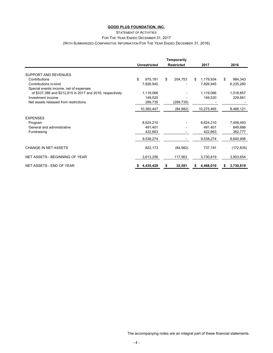# STATEMENT OF ACTIVITIES FOR THE YEAR ENDED DECEMBER 31, 2017

(WITH SUMMARIZED COMPARATIVE INFORMATION FOR THE YEAR ENDED DECEMBER 31, 2016)

|                                                           |                     | <b>Temporarily</b> |                  |                 |
|-----------------------------------------------------------|---------------------|--------------------|------------------|-----------------|
|                                                           | <b>Unrestricted</b> | <b>Restricted</b>  | 2017             | 2016            |
| SUPPORT AND REVENUES                                      |                     |                    |                  |                 |
| Contributions                                             | \$<br>975,181       | \$<br>204,753      | 1,179,934<br>\$. | 984,343<br>\$   |
| Contributions in-kind                                     | 7,826,945           |                    | 7,826,945        | 6,235,260       |
| Special events income, net of expenses                    |                     |                    |                  |                 |
| of \$337,386 and \$212,815 in 2017 and 2016, respectively | 1,119,066           |                    | 1,119,066        | 1,018,857       |
| Investment income                                         | 149,520             |                    | 149,520          | 229,661         |
| Net assets released from restrictions                     | 289,735             | (289, 735)         |                  |                 |
|                                                           | 10,360,447          | (84, 982)          | 10,275,465       | 8,468,121       |
| <b>EXPENSES</b>                                           |                     |                    |                  |                 |
| Program                                                   | 8,624,210           |                    | 8,624,210        | 7,408,493       |
| General and administrative                                | 491,401             |                    | 491,401          | 849,686         |
| Fundraising                                               | 422,663             |                    | 422,663          | 382,777         |
|                                                           | 9,538,274           |                    | 9,538,274        | 8,640,956       |
| <b>CHANGE IN NET ASSETS</b>                               | 822,173             | (84, 982)          | 737,191          | (172, 835)      |
| NET ASSETS - BEGINNING OF YEAR                            | 3,613,256           | 117,563            | 3,730,819        | 3,903,654       |
| NET ASSETS - END OF YEAR                                  | 4,435,429           | 32,581<br>\$       | 4,468,010<br>\$  | 3,730,819<br>\$ |

The accompanying notes are an integral part of these financial statements.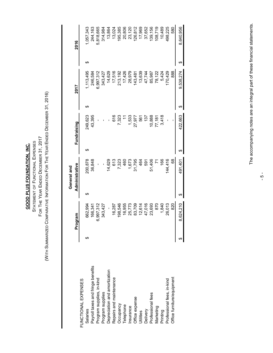**GOOD PLUS FOUNDATION, INC. GOOD PLUS FOUNDATION, INC.**

FOR THE YEAR ENDED DECEMBER 31, 2017 FOR THE YEAR ENDED DECEMBER 31, 2017 STATEMENT OF FUNCTIONAL EXPENSES STATEMENT OF FUNCTIONAL EXPENSES

(WITH SUMARIZED COMPARATIVE INFORMATION FOR THE YEAR ENDED DECEMBER 31, 2016) (WITH SUMMARI=ED COMPARATIVE INFORMATION FOR THE YEAR ENDED DECEMBER 31, 2016)

|                                   |   |           |   | General and    |   |               |   |           |   |           |
|-----------------------------------|---|-----------|---|----------------|---|---------------|---|-----------|---|-----------|
|                                   |   | Program   |   | Administrative |   | Fundraising   |   | 2017      |   | 2016      |
| FUNCTIONAL EXPENSES               |   |           |   |                |   |               |   |           |   |           |
| Salaries                          | ക | 662,994   | ↔ | 200,878        | ↮ | 249,623       | ക | ,113,495  | ക | 1,057,343 |
| Payroll taxes and fringe benefits |   | 166,34    |   | 36,848         |   | 43,395        |   | 246,584   |   | 244,163   |
| Program supplies, in-kind         |   | 6,997,312 |   |                |   |               |   | 6,997,312 |   | 5,818,665 |
| Program supplies                  |   | 343,427   |   |                |   |               |   | 343,427   |   | 314,984   |
| Depreciation and amortization     |   |           |   | 14,629         |   |               |   | 14,629    |   | 13,864    |
| Repairs and maintenance           |   | 16,287    |   | 613            |   | $\frac{6}{6}$ |   | 17,516    |   | 13,024    |
| Occupancy                         |   | 198,546   |   | 7,323          |   | 7,323         |   | 213,192   |   | 195,385   |
| Telephone                         |   | 16,955    |   | 460            |   |               |   | 17,426    |   | 20,806    |
| Insurance                         |   | 25,773    |   | 1,673          |   | 1,533         |   | 28,979    |   | 23,120    |
| Office expense                    |   | 83,709    |   | 31,795         |   | 27,977        |   | 143,481   |   | 126,812   |
| Utilities                         |   | 12,614    |   | 464            |   | 561           |   | 13,639    |   | 17,969    |
| Delivery                          |   | 47,016    |   | 591            |   | 137           |   | 47,744    |   | 37,652    |
| Professional fees                 |   | 23,693    |   | 51,406         |   | 10,888        |   | 85,987    |   | 139,156   |
| Marketing                         |   | 870       |   |                |   | 77,181        |   | 78,122    |   | 108,719   |
| Printing                          |   | 1,840     |   | 166            |   | 3,418         |   | 5,424     |   | 10,489    |
| Professional fees, in-kind        |   | 26,013    |   | 144,416        |   |               |   | 170,429   |   | 498,225   |
| Office furniture/equipment        |   | 820       |   | 89             |   |               |   | 888       |   | 580       |
|                                   |   | 8,624,210 | ↔ | 491,401        | ↔ | 422.663       | ↔ | 9.538.274 | ↔ | 8.640.956 |

The accompanying notes are an integral part of these financial statements. The accompanying notes are an integral part of these financial statements.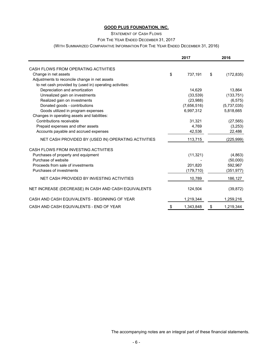STATEMENT OF CASH FLOWS

FOR THE YEAR ENDED DECEMBER 31, 2017

(WITH SUMMARIZED COMPARATIVE INFORMATION FOR THE YEAR ENDED DECEMBER 31, 2016)

|                                                         |    | 2017        | 2016             |
|---------------------------------------------------------|----|-------------|------------------|
| CASH FLOWS FROM OPERATING ACTIVITIES                    |    |             |                  |
|                                                         |    |             |                  |
| Change in net assets                                    | \$ | 737,191     | \$<br>(172, 835) |
| Adjustments to reconcile change in net assets           |    |             |                  |
| to net cash provided by (used in) operating activities: |    |             |                  |
| Depreciation and amortization                           |    | 14,629      | 13,864           |
| Unrealized gain on investments                          |    | (33, 539)   | (133, 751)       |
| Realized gain on investments                            |    | (23,988)    | (6, 575)         |
| Donated goods - contributions                           |    | (7,656,516) | (5,737,035)      |
| Goods utilized in program expenses                      |    | 6,997,312   | 5,818,665        |
| Changes in operating assets and liabilities:            |    |             |                  |
| Contributions receivable                                |    | 31,321      | (27, 565)        |
| Prepaid expenses and other assets                       |    | 4,769       | (3,253)          |
| Accounts payable and accrued expenses                   |    | 42,536      | 22,486           |
| NET CASH PROVIDED BY (USED IN) OPERATING ACTIVITIES     |    | 113,715     | (225, 999)       |
| CASH FLOWS FROM INVESTING ACTIVITIES                    |    |             |                  |
| Purchases of property and equipment                     |    | (11, 321)   | (4,863)          |
| Purchase of website                                     |    |             | (50,000)         |
| Proceeds from sale of investments                       |    | 201,820     | 592,967          |
| Purchases of investments                                |    | (179, 710)  | (351, 977)       |
| NET CASH PROVIDED BY INVESTING ACTIVITIES               |    | 10,789      | 186,127          |
| NET INCREASE (DECREASE) IN CASH AND CASH EQUIVALENTS    |    | 124,504     | (39, 872)        |
| CASH AND CASH EQUIVALENTS - BEGINNING OF YEAR           |    | 1,219,344   | 1,259,216        |
| CASH AND CASH EQUIVALENTS - END OF YEAR                 | S  | 1,343,848   | \$<br>1,219,344  |

The accompanying notes are an integral part of these financial statements.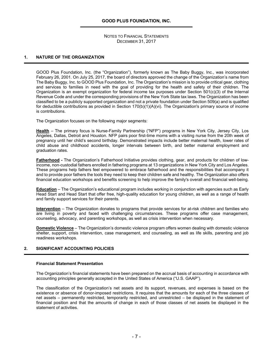NOTES TO FINANCIAL STATEMENTS DECEMBER 31, 2017

### **1. NATURE OF THE ORGANIZATION**

GOOD Plus Foundation, Inc. (the "Organization"), formerly known as The Baby Buggy, Inc., was incorporated February 26, 2001. On July 25, 2017, the board of directors approved the change of the Organization's name from The Baby Buggy, Inc. to GOOD Plus Foundation, Inc. The Organization's mission is to provide critical gear, clothing and services to families in need with the goal of providing for the health and safety of their children. The Organization is an exempt organization for federal income tax purposes under Section 501(c)(3) of the Internal Revenue Code and under the corresponding provisions of the New York State tax laws. The Organization has been classified to be a publicly supported organization and not a private foundation under Section 509(a) and is qualified for deductible contributions as provided in Section 170(b)(1)(A)(vi). The Organization's primary source of income is contributions.

The Organization focuses on the following major segments:

**Health** – The primary focus is Nurse-Family Partnership ("NFP") programs in New York City, Jersey City, Los Angeles, Dallas, Detroit and Houston. NFP pairs poor first-time moms with a visiting nurse from the 20th week of pregnancy until her child's second birthday. Demonstrated impacts include better maternal health, lower rates of child abuse and childhood accidents, longer intervals between birth, and better maternal employment and graduation rates.

**Fatherhood -** The Organization's Fatherhood Initiative provides clothing, gear, and products for children of lowincome, non-custodial fathers enrolled in fathering programs at 13 organizations in New York City and Los Angeles. These programs help fathers feel empowered to embrace fatherhood and the responsibilities that accompany it and to provide poor fathers the tools they need to keep their children safe and healthy. The Organization also offers financial education workshops and benefits screening to help improve the family's overall and financial well-being.

**Education** – The Organization's educational program includes working in conjunction with agencies such as Early Head Start and Head Start that offer free, high-quality education for young children, as well as a range of health and family support services for their parents.

**Intervention** – The Organization donates to programs that provide services for at-risk children and families who are living in poverty and faced with challenging circumstances. These programs offer case management, counseling, advocacy, and parenting workshops, as well as crisis intervention when necessary.

**Domestic Violence** – The Organization's domestic violence program offers women dealing with domestic violence shelter, support, crisis intervention, case management, and counseling, as well as life skills, parenting and job readiness workshops.

## **2. SIGNIFICANT ACCOUNTING POLICIES**

#### **Financial Statement Presentation**

The Organization's financial statements have been prepared on the accrual basis of accounting in accordance with accounting principles generally accepted in the United States of America ("U.S. GAAP").

The classification of the Organization's net assets and its support, revenues, and expenses is based on the existence or absence of donor-imposed restrictions. It requires that the amounts for each of the three classes of net assets – permanently restricted, temporarily restricted, and unrestricted – be displayed in the statement of financial position and that the amounts of change in each of those classes of net assets be displayed in the statement of activities.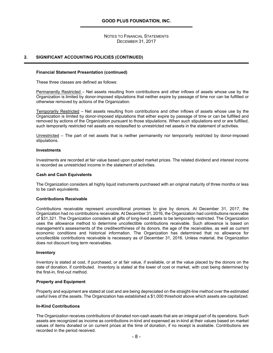## **2. SIGNIFICANT ACCOUNTING POLICIES (CONTINUED)**

#### **Financial Statement Presentation (continued)**

These three classes are defined as follows:

Permanently Restricted – Net assets resulting from contributions and other inflows of assets whose use by the Organization is limited by donor-imposed stipulations that neither expire by passage of time nor can be fulfilled or otherwise removed by actions of the Organization.

Temporarily Restricted – Net assets resulting from contributions and other inflows of assets whose use by the Organization is limited by donor-imposed stipulations that either expire by passage of time or can be fulfilled and removed by actions of the Organization pursuant to those stipulations. When such stipulations end or are fulfilled, such temporarily restricted net assets are reclassified to unrestricted net assets in the statement of activities.

Unrestricted – The part of net assets that is neither permanently nor temporarily restricted by donor-imposed stipulations.

#### **Investments**

Investments are recorded at fair value based upon quoted market prices. The related dividend and interest income is recorded as unrestricted income in the statement of activities.

#### **Cash and Cash Equivalents**

The Organization considers all highly liquid instruments purchased with an original maturity of three months or less to be cash equivalents.

#### **Contributions Receivable**

Contributions receivable represent unconditional promises to give by donors. At December 31, 2017, the Organization had no contributions receivable. At December 31, 2016, the Organization had contributions receivable of \$31,321. The Organization considers all gifts of long-lived assets to be temporarily restricted. The Organization uses the allowance method to determine uncollectible contributions receivable. Such allowance is based on management's assessments of the creditworthiness of its donors, the age of the receivables, as well as current economic conditions and historical information. The Organization has determined that no allowance for uncollectible contributions receivable is necessary as of December 31, 2016. Unless material, the Organization does not discount long term receivables.

#### **Inventory**

Inventory is stated at cost, if purchased, or at fair value, if available, or at the value placed by the donors on the date of donation, if contributed. Inventory is stated at the lower of cost or market, with cost being determined by the first-in, first-out method.

#### **Property and Equipment**

Property and equipment are stated at cost and are being depreciated on the straight-line method over the estimated useful lives of the assets. The Organization has established a \$1,000 threshold above which assets are capitalized.

#### **In-Kind Contributions**

The Organization receives contributions of donated non-cash assets that are an integral part of its operations. Such assets are recognized as income as contributions in-kind and expensed as in-kind at their values based on market values of items donated or on current prices at the time of donation, if no receipt is available. Contributions are recorded in the period received.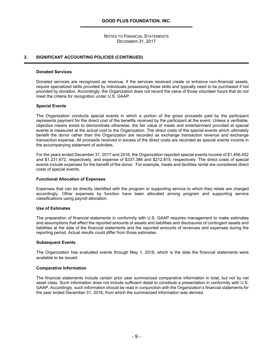## **2. SIGNIFICANT ACCOUNTING POLICIES (CONTINUED)**

#### **Donated Services**

Donated services are recognized as revenue, if the services received create or enhance non-financial assets, require specialized skills provided by individuals possessing those skills and typically need to be purchased if not provided by donation. Accordingly, the Organization does not record the value of those volunteer hours that do not meet the criteria for recognition under U.S. GAAP.

#### **Special Events**

The Organization conducts special events in which a portion of the gross proceeds paid by the participant represents payment for the direct cost of the benefits received by the participant at the event. Unless a verifiable, objective means exists to demonstrate otherwise, the fair value of meals and entertainment provided at special events is measured at the actual cost to the Organization. The direct costs of the special events which ultimately benefit the donor rather than the Organization are recorded as exchange transaction revenue and exchange transaction expense. All proceeds received in excess of the direct costs are recorded as special events income in the accompanying statement of activities.

For the years ended December 31, 2017 and 2016, the Organization reported special events income of \$1,456,452 and \$1,231,672, respectively, and expense of \$337,386 and \$212,815, respectively. The direct costs of special events include expenses for the benefit of the donor. For example, meals and facilities rental are considered direct costs of special events.

#### **Functional Allocation of Expenses**

Expenses that can be directly identified with the program or supporting service to which they relate are charged accordingly. Other expenses by function have been allocated among program and supporting service classifications using payroll allocation.

#### **Use of Estimates**

The preparation of financial statements in conformity with U.S. GAAP requires management to make estimates and assumptions that affect the reported amounts of assets and liabilities and disclosures of contingent assets and liabilities at the date of the financial statements and the reported amounts of revenues and expenses during the reporting period. Actual results could differ from those estimates.

#### **Subsequent Events**

The Organization has evaluated events through May 1, 2018, which is the date the financial statements were available to be issued.

#### **Comparative Information**

The financial statements include certain prior year summarized comparative information in total, but not by net asset class. Such information does not include sufficient detail to constitute a presentation in conformity with U.S. GAAP. Accordingly, such information should be read in conjunction with the Organization's financial statements for the year ended December 31, 2016, from which the summarized information was derived.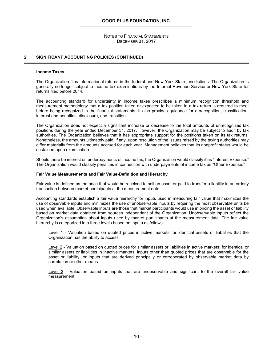## **2. SIGNIFICANT ACCOUNTING POLICIES (CONTINUED)**

#### **Income Taxes**

The Organization files informational returns in the federal and New York State jurisdictions. The Organization is generally no longer subject to income tax examinations by the Internal Revenue Service or New York State for returns filed before 2014.

The accounting standard for uncertainty in income taxes prescribes a minimum recognition threshold and measurement methodology that a tax position taken or expected to be taken in a tax return is required to meet before being recognized in the financial statements. It also provides guidance for derecognition, classification, interest and penalties, disclosure, and transition.

The Organization does not expect a significant increase or decrease to the total amounts of unrecognized tax positions during the year ended December 31, 2017. However, the Organization may be subject to audit by tax authorities. The Organization believes that it has appropriate support for the positions taken on its tax returns. Nonetheless, the amounts ultimately paid, if any, upon resolution of the issues raised by the taxing authorities may differ materially from the amounts accrued for each year. Management believes that its nonprofit status would be sustained upon examination.

Should there be interest on underpayments of income tax, the Organization would classify it as "Interest Expense." The Organization would classify penalties in connection with underpayments of income tax as "Other Expense."

#### **Fair Value Measurements and Fair Value-Definition and Hierarchy**

Fair value is defined as the price that would be received to sell an asset or paid to transfer a liability in an orderly transaction between market participants at the measurement date.

Accounting standards establish a fair value hierarchy for inputs used in measuring fair value that maximizes the use of observable inputs and minimizes the use of unobservable inputs by requiring the most observable units be used when available. Observable inputs are those that market participants would use in pricing the asset or liability based on market data obtained from sources independent of the Organization. Unobservable inputs reflect the Organization's assumption about inputs used by market participants at the measurement date. The fair value hierarchy is categorized into three levels based on inputs as follows:

Level 1 - Valuation based on quoted prices in active markets for identical assets or liabilities that the Organization has the ability to access.

Level 2 - Valuation based on quoted prices for similar assets or liabilities in active markets; for identical or similar assets or liabilities in inactive markets; inputs other than quoted prices that are observable for the asset or liability; or inputs that are derived principally or corroborated by observable market data by correlation or other means.

Level 3 - Valuation based on inputs that are unobservable and significant to the overall fair value measurement.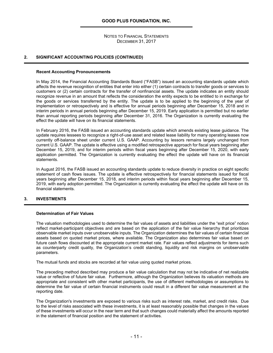## **2. SIGNIFICANT ACCOUNTING POLICIES (CONTINUED)**

#### **Recent Accounting Pronouncements**

In May 2014, the Financial Accounting Standards Board ("FASB") issued an accounting standards update which affects the revenue recognition of entities that enter into either (1) certain contracts to transfer goods or services to customers or (2) certain contracts for the transfer of nonfinancial assets. The update indicates an entity should recognize revenue in an amount that reflects the consideration the entity expects to be entitled to in exchange for the goods or services transferred by the entity. The update is to be applied to the beginning of the year of implementation or retrospectively and is effective for annual periods beginning after December 15, 2018 and in interim periods in annual periods beginning after December 15, 2019. Early application is permitted but no earlier than annual reporting periods beginning after December 31, 2016. The Organization is currently evaluating the effect the update will have on its financial statements.

In February 2016, the FASB issued an accounting standards update which amends existing lease guidance. The update requires lessees to recognize a right-of-use asset and related lease liability for many operating leases now currently off-balance sheet under current U.S. GAAP. Accounting by lessors remains largely unchanged from current U.S. GAAP. The update is effective using a modified retrospective approach for fiscal years beginning after December 15, 2019, and for interim periods within fiscal years beginning after December 15, 2020, with early application permitted. The Organization is currently evaluating the effect the update will have on its financial statements.

In August 2016, the FASB issued an accounting standards update to reduce diversity in practice on eight specific statement of cash flows issues. The update is effective retrospectively for financial statements issued for fiscal years beginning after December 15, 2018, and interim periods within fiscal years beginning after December 15, 2019, with early adoption permitted. The Organization is currently evaluating the effect the update will have on its financial statements.

## **3. INVESTMENTS**

#### **Determination of Fair Values**

The valuation methodologies used to determine the fair values of assets and liabilities under the "exit price" notion reflect market-participant objectives and are based on the application of the fair value hierarchy that prioritizes observable market inputs over unobservable inputs. The Organization determines the fair values of certain financial assets based on quoted market prices, where available. The Organization also determines fair value based on future cash flows discounted at the appropriate current market rate. Fair values reflect adjustments for items such as counterparty credit quality, the Organization's credit standing, liquidity and risk margins on unobservable parameters.

The mutual funds and stocks are recorded at fair value using quoted market prices.

The preceding method described may produce a fair value calculation that may not be indicative of net realizable value or reflective of future fair value. Furthermore, although the Organization believes its valuation methods are appropriate and consistent with other market participants, the use of different methodologies or assumptions to determine the fair value of certain financial instruments could result in a different fair value measurement at the reporting date.

The Organization's investments are exposed to various risks such as interest rate, market, and credit risks. Due to the level of risks associated with these investments, it is at least reasonably possible that changes in the values of these investments will occur in the near term and that such changes could materially affect the amounts reported in the statement of financial position and the statement of activities.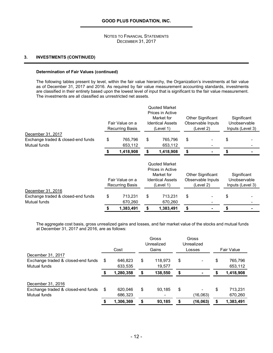## **3. INVESTMENTS (CONTINUED)**

#### **Determination of Fair Values (continued)**

The following tables present by level, within the fair value hierarchy, the Organization's investments at fair value as of December 31, 2017 and 2016. As required by fair value measurement accounting standards, investments are classified in their entirety based upon the lowest level of input that is significant to the fair value measurement. The investments are all classified as unrestricted net assets.

|                                                                         | Fair Value on a<br>Recurring Basis | <b>Quoted Market</b><br><b>Prices in Active</b><br>Market for<br><b>Identical Assets</b><br>(Level 1) | Other Significant<br>Observable Inputs<br>(Level 2) | Significant<br>Unobservable<br>Inputs (Level 3) |
|-------------------------------------------------------------------------|------------------------------------|-------------------------------------------------------------------------------------------------------|-----------------------------------------------------|-------------------------------------------------|
| December 31, 2017<br>Exchange traded & closed-end funds<br>Mutual funds | \$<br>765,796<br>653,112           | \$<br>765,796<br>653,112                                                                              | \$                                                  | \$                                              |
|                                                                         | 1,418,908                          | 1,418,908                                                                                             | \$                                                  | \$                                              |
|                                                                         | Fair Value on a<br>Recurring Basis | <b>Quoted Market</b><br>Prices in Active<br>Market for<br><b>Identical Assets</b><br>(Level 1)        | Other Significant<br>Observable Inputs<br>(Level 2) | Significant<br>Unobservable<br>Inputs (Level 3) |
| December 31, 2016<br>Exchange traded & closed-end funds<br>Mutual funds | \$<br>713,231<br>670,260           | \$<br>713,231<br>670,260                                                                              | \$                                                  | \$                                              |
|                                                                         | \$<br>1,383,491                    | \$<br>1,383,491                                                                                       | \$                                                  | \$                                              |

The aggregate cost basis, gross unrealized gains and losses, and fair market value of the stocks and mutual funds at December 31, 2017 and 2016, are as follows:

|                                    | Cost            |    | Gross<br>Unrealized<br>Gains | Gross<br>Unrealized<br>Losses | Fair Value      |
|------------------------------------|-----------------|----|------------------------------|-------------------------------|-----------------|
| December 31, 2017                  |                 |    |                              |                               |                 |
| Exchange traded & closed-end funds | \$<br>646,823   | \$ | 118,973                      | \$                            | \$<br>765,796   |
| Mutual funds                       | 633,535         |    | 19,577                       |                               | 653,112         |
|                                    | 1,280,358       | S  | 138,550                      | \$                            | 1,418,908       |
| December 31, 2016                  |                 |    |                              |                               |                 |
| Exchange traded & closed-end funds | \$<br>620.046   | \$ | 93.185                       | \$                            | \$<br>713.231   |
| Mutual funds                       | 686,323         |    |                              | (16,063)                      | 670,260         |
|                                    | \$<br>1,306,369 | \$ | 93,185                       | \$<br>(16,063)                | \$<br>1,383,491 |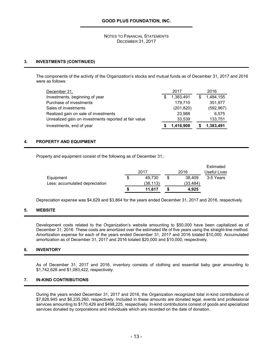#### **3. INVESTMENTS (CONTINUED)**

The components of the activity of the Organization's stocks and mutual funds as of December 31, 2017 and 2016 were as follows:

| December 31,                                          | 2017       | 2016       |
|-------------------------------------------------------|------------|------------|
| Investments, beginning of year                        | 1,383,491  | 1,484,155  |
| Purchase of investments                               | 179,710    | 351,977    |
| Sales of investments                                  | (201, 820) | (592, 967) |
| Realized gain on sale of investments                  | 23,988     | 6,575      |
| Unrealized gain on investments reported at fair value | 33,539     | 133,751    |
| Investments, end of year                              | 1,418,908  | 1,383,491  |

#### **4. PROPERTY AND EQUIPMENT**

Property and equipment consist of the following as of December 31,:

|                                | 2017     | 2016         | Estimated<br>Useful Lives |
|--------------------------------|----------|--------------|---------------------------|
|                                |          |              |                           |
| Equipment                      | 49.730   | \$<br>38.409 | 3-5 Years                 |
| Less: accumulated depreciation | (38,113) | (33, 484)    |                           |
|                                | 11.617   | 4.925        |                           |
|                                |          |              |                           |

Depreciation expense was \$4,629 and \$3,864 for the years ended December 31, 2017 and 2016, respectively.

#### **5. WEBSITE**

Development costs related to the Organization's website amounting to \$50,000 have been capitalized as of December 31, 2016. These costs are amortized over the estimated life of five years using the straight-line method. Amortization expense for each of the years ended December 31, 2017 and 2016 totaled \$10,000. Accumulated amortization as of December 31, 2017 and 2016 totaled \$20,000 and \$10,000, respectively.

## **6. INVENTORY**

As of December 31, 2017 and 2016, inventory consists of clothing and essential baby gear amounting to \$1,742,626 and \$1,083,422, respectively.

## **7. IN-KIND CONTRIBUTIONS**

During the years ended December 31, 2017 and 2016, the Organization recognized total in-kind contributions of \$7,826,945 and \$6,235,260, respectively. Included in these amounts are donated legal, events and professional services amounting to \$170,429 and \$498,225, respectively. In-kind contributions consist of goods and specialized services donated by corporations and individuals which are recorded on the date of donation.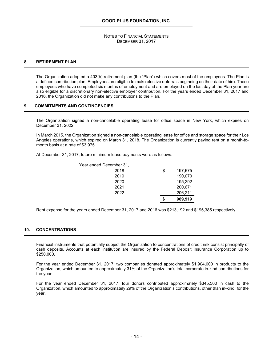## **8. RETIREMENT PLAN**

The Organization adopted a 403(b) retirement plan (the "Plan") which covers most of the employees. The Plan is a defined contribution plan. Employees are eligible to make elective deferrals beginning on their date of hire. Those employees who have completed six months of employment and are employed on the last day of the Plan year are also eligible for a discretionary non-elective employer contribution. For the years ended December 31, 2017 and 2016, the Organization did not make any contributions to the Plan.

#### **9. COMMITMENTS AND CONTINGENCIES**

The Organization signed a non-cancelable operating lease for office space in New York, which expires on December 31, 2022.

In March 2015, the Organization signed a non-cancelable operating lease for office and storage space for their Los Angeles operations, which expired on March 31, 2018. The Organization is currently paying rent on a month-tomonth basis at a rate of \$3,975.

At December 31, 2017, future minimum lease payments were as follows:

|                         | S  | 989,919 |
|-------------------------|----|---------|
| 2022                    |    | 206,211 |
| 2021                    |    | 200,671 |
| 2020                    |    | 195,292 |
| 2019                    |    | 190,070 |
| 2018                    | \$ | 197,675 |
| Year ended December 31, |    |         |

Rent expense for the years ended December 31, 2017 and 2016 was \$213,192 and \$195,385 respectively.

#### **10. CONCENTRATIONS**

Financial instruments that potentially subject the Organization to concentrations of credit risk consist principally of cash deposits. Accounts at each institution are insured by the Federal Deposit Insurance Corporation up to \$250,000.

For the year ended December 31, 2017, two companies donated approximately \$1,904,000 in products to the Organization, which amounted to approximately 31% of the Organization's total corporate in-kind contributions for the year.

For the year ended December 31, 2017, four donors contributed approximately \$345,500 in cash to the Organization, which amounted to approximately 29% of the Organization's contributions, other than in-kind, for the year.